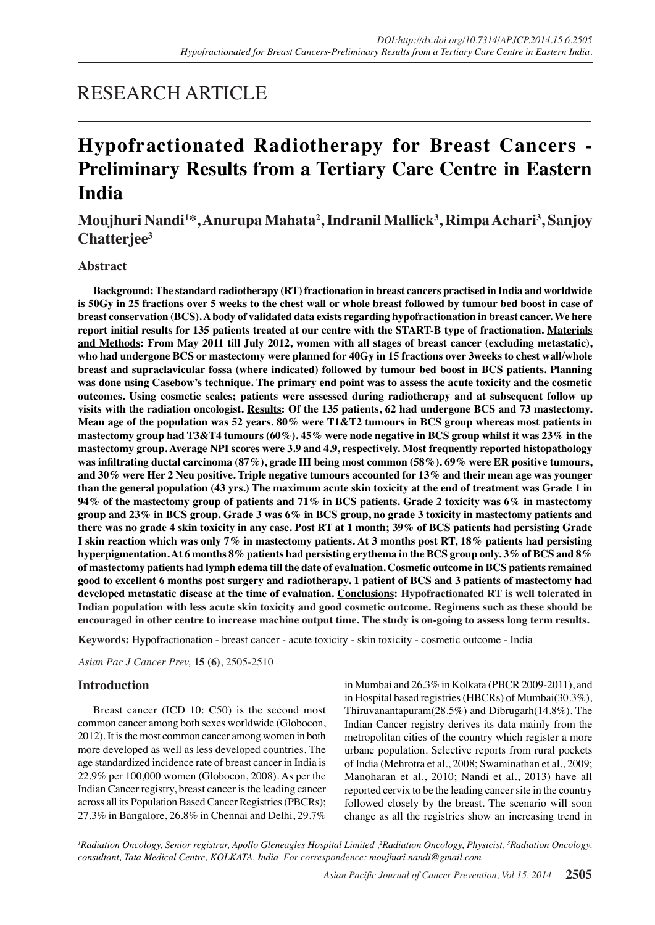# RESEARCH ARTICLE

# **Hypofractionated Radiotherapy for Breast Cancers - Preliminary Results from a Tertiary Care Centre in Eastern India**

**Moujhuri Nandi1 \*, Anurupa Mahata2 , Indranil Mallick3 , Rimpa Achari3 , Sanjoy Chatterjee3**

## **Abstract**

**Background: The standard radiotherapy (RT) fractionation in breast cancers practised in India and worldwide is 50Gy in 25 fractions over 5 weeks to the chest wall or whole breast followed by tumour bed boost in case of breast conservation (BCS). A body of validated data exists regarding hypofractionation in breast cancer. We here report initial results for 135 patients treated at our centre with the START-B type of fractionation. Materials and Methods: From May 2011 till July 2012, women with all stages of breast cancer (excluding metastatic), who had undergone BCS or mastectomy were planned for 40Gy in 15 fractions over 3weeks to chest wall/whole breast and supraclavicular fossa (where indicated) followed by tumour bed boost in BCS patients. Planning was done using Casebow's technique. The primary end point was to assess the acute toxicity and the cosmetic outcomes. Using cosmetic scales; patients were assessed during radiotherapy and at subsequent follow up visits with the radiation oncologist. Results: Of the 135 patients, 62 had undergone BCS and 73 mastectomy. Mean age of the population was 52 years. 80% were T1&T2 tumours in BCS group whereas most patients in mastectomy group had T3&T4 tumours (60%). 45% were node negative in BCS group whilst it was 23% in the mastectomy group. Average NPI scores were 3.9 and 4.9, respectively. Most frequently reported histopathology**  was infiltrating ductal carcinoma (87%), grade III being most common (58%). 69% were ER positive tumours, **and 30% were Her 2 Neu positive. Triple negative tumours accounted for 13% and their mean age was younger than the general population (43 yrs.) The maximum acute skin toxicity at the end of treatment was Grade 1 in 94% of the mastectomy group of patients and 71% in BCS patients. Grade 2 toxicity was 6% in mastectomy group and 23% in BCS group. Grade 3 was 6% in BCS group, no grade 3 toxicity in mastectomy patients and there was no grade 4 skin toxicity in any case. Post RT at 1 month; 39% of BCS patients had persisting Grade I skin reaction which was only 7% in mastectomy patients. At 3 months post RT, 18% patients had persisting hyperpigmentation. At 6 months 8% patients had persisting erythema in the BCS group only. 3% of BCS and 8% of mastectomy patients had lymph edema till the date of evaluation. Cosmetic outcome in BCS patients remained good to excellent 6 months post surgery and radiotherapy. 1 patient of BCS and 3 patients of mastectomy had developed metastatic disease at the time of evaluation. Conclusions: Hypofractionated RT is well tolerated in Indian population with less acute skin toxicity and good cosmetic outcome. Regimens such as these should be encouraged in other centre to increase machine output time. The study is on-going to assess long term results.**

**Keywords:** Hypofractionation - breast cancer - acute toxicity - skin toxicity - cosmetic outcome - India

*Asian Pac J Cancer Prev,* **15 (6)**, 2505-2510

### **Introduction**

Breast cancer (ICD 10: C50) is the second most common cancer among both sexes worldwide (Globocon, 2012). It is the most common cancer among women in both more developed as well as less developed countries. The age standardized incidence rate of breast cancer in India is 22.9% per 100,000 women (Globocon, 2008). As per the Indian Cancer registry, breast cancer is the leading cancer across all its Population Based Cancer Registries (PBCRs); 27.3% in Bangalore, 26.8% in Chennai and Delhi, 29.7% in Mumbai and 26.3% in Kolkata (PBCR 2009-2011), and in Hospital based registries (HBCRs) of Mumbai(30.3%), Thiruvanantapuram(28.5%) and Dibrugarh(14.8%). The Indian Cancer registry derives its data mainly from the metropolitan cities of the country which register a more urbane population. Selective reports from rural pockets of India (Mehrotra et al., 2008; Swaminathan et al., 2009; Manoharan et al., 2010; Nandi et al., 2013) have all reported cervix to be the leading cancer site in the country followed closely by the breast. The scenario will soon change as all the registries show an increasing trend in

*1 Radiation Oncology, Senior registrar, Apollo Gleneagles Hospital Limited ,2 Radiation Oncology, Physicist, 3 Radiation Oncology, consultant, Tata Medical Centre, KOLKATA, India For correspondence: moujhuri.nandi@gmail.com*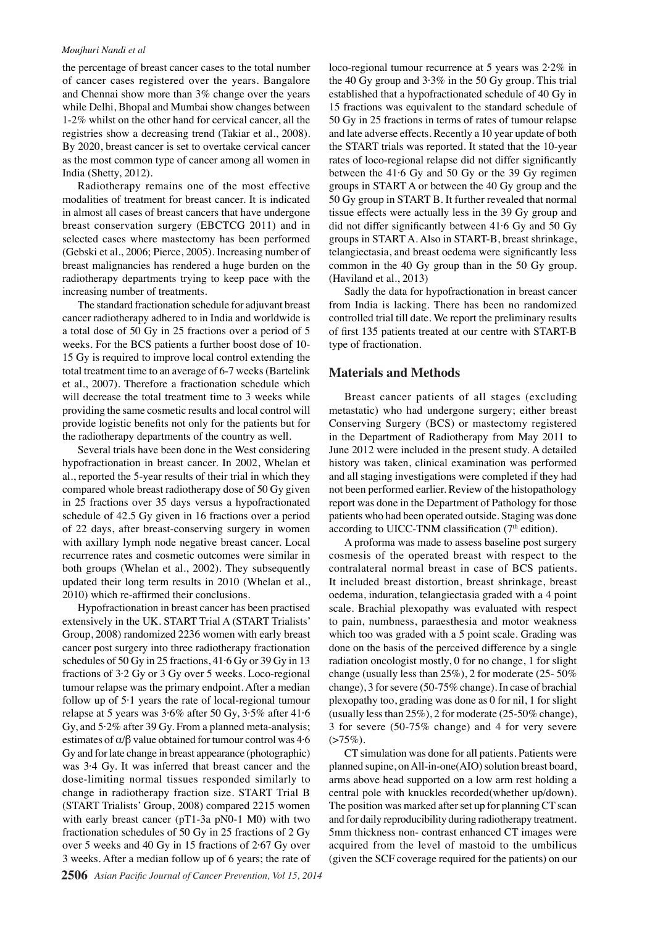#### *Moujhuri Nandi et al*

the percentage of breast cancer cases to the total number of cancer cases registered over the years. Bangalore and Chennai show more than 3% change over the years while Delhi, Bhopal and Mumbai show changes between 1-2% whilst on the other hand for cervical cancer, all the registries show a decreasing trend (Takiar et al., 2008). By 2020, breast cancer is set to overtake cervical cancer as the most common type of cancer among all women in India (Shetty, 2012).

Radiotherapy remains one of the most effective modalities of treatment for breast cancer. It is indicated in almost all cases of breast cancers that have undergone breast conservation surgery (EBCTCG 2011) and in selected cases where mastectomy has been performed (Gebski et al., 2006; Pierce, 2005). Increasing number of breast malignancies has rendered a huge burden on the radiotherapy departments trying to keep pace with the increasing number of treatments.

The standard fractionation schedule for adjuvant breast cancer radiotherapy adhered to in India and worldwide is a total dose of 50 Gy in 25 fractions over a period of 5 weeks. For the BCS patients a further boost dose of 10- 15 Gy is required to improve local control extending the total treatment time to an average of 6-7 weeks (Bartelink et al., 2007). Therefore a fractionation schedule which will decrease the total treatment time to 3 weeks while providing the same cosmetic results and local control will provide logistic benefits not only for the patients but for the radiotherapy departments of the country as well.

Several trials have been done in the West considering hypofractionation in breast cancer. In 2002, Whelan et al., reported the 5-year results of their trial in which they compared whole breast radiotherapy dose of 50 Gy given in 25 fractions over 35 days versus a hypofractionated schedule of 42.5 Gy given in 16 fractions over a period of 22 days, after breast-conserving surgery in women with axillary lymph node negative breast cancer. Local recurrence rates and cosmetic outcomes were similar in both groups (Whelan et al., 2002). They subsequently updated their long term results in 2010 (Whelan et al., 2010) which re-affirmed their conclusions.

Hypofractionation in breast cancer has been practised extensively in the UK. START Trial A (START Trialists' Group, 2008) randomized 2236 women with early breast cancer post surgery into three radiotherapy fractionation schedules of 50 Gy in 25 fractions, 41·6 Gy or 39 Gy in 13 fractions of 3·2 Gy or 3 Gy over 5 weeks. Loco-regional tumour relapse was the primary endpoint. After a median follow up of 5·1 years the rate of local-regional tumour relapse at 5 years was 3·6% after 50 Gy, 3·5% after 41·6 Gy, and 5·2% after 39 Gy. From a planned meta-analysis; estimates of  $\alpha/\beta$  value obtained for tumour control was 4.6 Gy and for late change in breast appearance (photographic) was 3·4 Gy. It was inferred that breast cancer and the dose-limiting normal tissues responded similarly to change in radiotherapy fraction size. START Trial B (START Trialists' Group, 2008) compared 2215 women with early breast cancer (pT1-3a pN0-1 M0) with two fractionation schedules of 50 Gy in 25 fractions of 2 Gy over 5 weeks and 40 Gy in 15 fractions of 2·67 Gy over 3 weeks. After a median follow up of 6 years; the rate of

loco-regional tumour recurrence at 5 years was 2·2% in the 40 Gy group and 3·3% in the 50 Gy group. This trial established that a hypofractionated schedule of 40 Gy in 15 fractions was equivalent to the standard schedule of 50 Gy in 25 fractions in terms of rates of tumour relapse and late adverse effects. Recently a 10 year update of both the START trials was reported. It stated that the 10-year rates of loco-regional relapse did not differ significantly between the 41·6 Gy and 50 Gy or the 39 Gy regimen groups in START A or between the 40 Gy group and the 50 Gy group in START B. It further revealed that normal tissue effects were actually less in the 39 Gy group and did not differ significantly between  $41·6$  Gy and  $50$  Gy groups in START A. Also in START-B, breast shrinkage, telangiectasia, and breast oedema were significantly less common in the 40 Gy group than in the 50 Gy group. (Haviland et al., 2013)

Sadly the data for hypofractionation in breast cancer from India is lacking. There has been no randomized controlled trial till date. We report the preliminary results of first 135 patients treated at our centre with START-B type of fractionation.

### **Materials and Methods**

Breast cancer patients of all stages (excluding metastatic) who had undergone surgery; either breast Conserving Surgery (BCS) or mastectomy registered in the Department of Radiotherapy from May 2011 to June 2012 were included in the present study. A detailed history was taken, clinical examination was performed and all staging investigations were completed if they had not been performed earlier. Review of the histopathology report was done in the Department of Pathology for those patients who had been operated outside. Staging was done according to UICC-TNM classification ( $7<sup>th</sup>$  edition).

A proforma was made to assess baseline post surgery cosmesis of the operated breast with respect to the contralateral normal breast in case of BCS patients. It included breast distortion, breast shrinkage, breast oedema, induration, telangiectasia graded with a 4 point scale. Brachial plexopathy was evaluated with respect to pain, numbness, paraesthesia and motor weakness which too was graded with a 5 point scale. Grading was done on the basis of the perceived difference by a single radiation oncologist mostly, 0 for no change, 1 for slight change (usually less than 25%), 2 for moderate (25- 50% change), 3 for severe (50-75% change). In case of brachial plexopathy too, grading was done as 0 for nil, 1 for slight (usually less than 25%), 2 for moderate (25-50% change), 3 for severe (50-75% change) and 4 for very severe  $( > 75\%)$ .

CT simulation was done for all patients. Patients were planned supine, on All-in-one(AIO) solution breast board, arms above head supported on a low arm rest holding a central pole with knuckles recorded(whether up/down). The position was marked after set up for planning CT scan and for daily reproducibility during radiotherapy treatment. 5mm thickness non- contrast enhanced CT images were acquired from the level of mastoid to the umbilicus (given the SCF coverage required for the patients) on our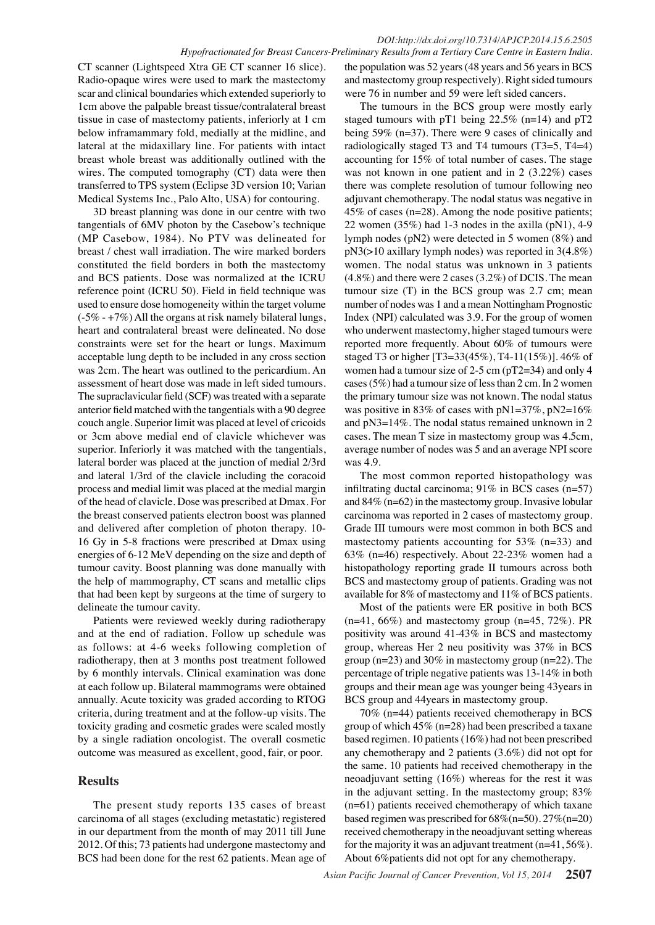#### *DOI:http://dx.doi.org/10.7314/APJCP.2014.15.6.2505 Hypofractionated for Breast Cancers-Preliminary Results from a Tertiary Care Centre in Eastern India.*

CT scanner (Lightspeed Xtra GE CT scanner 16 slice). Radio-opaque wires were used to mark the mastectomy scar and clinical boundaries which extended superiorly to 1cm above the palpable breast tissue/contralateral breast tissue in case of mastectomy patients, inferiorly at 1 cm below inframammary fold, medially at the midline, and lateral at the midaxillary line. For patients with intact breast whole breast was additionally outlined with the wires. The computed tomography (CT) data were then transferred to TPS system (Eclipse 3D version 10; Varian Medical Systems Inc., Palo Alto, USA) for contouring.

3D breast planning was done in our centre with two tangentials of 6MV photon by the Casebow's technique (MP Casebow, 1984). No PTV was delineated for breast / chest wall irradiation. The wire marked borders constituted the field borders in both the mastectomy and BCS patients. Dose was normalized at the ICRU reference point (ICRU 50). Field in field technique was used to ensure dose homogeneity within the target volume (-5% - +7%) All the organs at risk namely bilateral lungs, heart and contralateral breast were delineated. No dose constraints were set for the heart or lungs. Maximum acceptable lung depth to be included in any cross section was 2cm. The heart was outlined to the pericardium. An assessment of heart dose was made in left sided tumours. The supraclavicular field (SCF) was treated with a separate anterior field matched with the tangentials with a 90 degree couch angle. Superior limit was placed at level of cricoids or 3cm above medial end of clavicle whichever was superior. Inferiorly it was matched with the tangentials, lateral border was placed at the junction of medial 2/3rd and lateral 1/3rd of the clavicle including the coracoid process and medial limit was placed at the medial margin of the head of clavicle. Dose was prescribed at Dmax. For the breast conserved patients electron boost was planned and delivered after completion of photon therapy. 10- 16 Gy in 5-8 fractions were prescribed at Dmax using energies of 6-12 MeV depending on the size and depth of tumour cavity. Boost planning was done manually with the help of mammography, CT scans and metallic clips that had been kept by surgeons at the time of surgery to delineate the tumour cavity.

Patients were reviewed weekly during radiotherapy and at the end of radiation. Follow up schedule was as follows: at 4-6 weeks following completion of radiotherapy, then at 3 months post treatment followed by 6 monthly intervals. Clinical examination was done at each follow up. Bilateral mammograms were obtained annually. Acute toxicity was graded according to RTOG criteria, during treatment and at the follow-up visits. The toxicity grading and cosmetic grades were scaled mostly by a single radiation oncologist. The overall cosmetic outcome was measured as excellent, good, fair, or poor.

# **Results**

The present study reports 135 cases of breast carcinoma of all stages (excluding metastatic) registered in our department from the month of may 2011 till June 2012. Of this; 73 patients had undergone mastectomy and BCS had been done for the rest 62 patients. Mean age of

the population was 52 years (48 years and 56 years in BCS and mastectomy group respectively). Right sided tumours were 76 in number and 59 were left sided cancers.

The tumours in the BCS group were mostly early staged tumours with pT1 being 22.5% (n=14) and pT2 being 59% (n=37). There were 9 cases of clinically and radiologically staged T3 and T4 tumours (T3=5, T4=4) accounting for 15% of total number of cases. The stage was not known in one patient and in 2 (3.22%) cases there was complete resolution of tumour following neo adjuvant chemotherapy. The nodal status was negative in 45% of cases (n=28). Among the node positive patients; 22 women  $(35\%)$  had 1-3 nodes in the axilla  $(pN1)$ , 4-9 lymph nodes (pN2) were detected in 5 women (8%) and pN3(>10 axillary lymph nodes) was reported in 3(4.8%) women. The nodal status was unknown in 3 patients (4.8%) and there were 2 cases (3.2%) of DCIS. The mean tumour size (T) in the BCS group was 2.7 cm; mean number of nodes was 1 and a mean Nottingham Prognostic Index (NPI) calculated was 3.9. For the group of women who underwent mastectomy, higher staged tumours were reported more frequently. About 60% of tumours were staged T3 or higher [T3=33(45%), T4-11(15%)]. 46% of women had a tumour size of 2-5 cm (pT2=34) and only 4 cases (5%) had a tumour size of less than 2 cm. In 2 women the primary tumour size was not known. The nodal status was positive in 83% of cases with  $pN1=37%$ ,  $pN2=16%$ and pN3=14%. The nodal status remained unknown in 2 cases. The mean T size in mastectomy group was 4.5cm, average number of nodes was 5 and an average NPI score was 4.9.

The most common reported histopathology was infiltrating ductal carcinoma;  $91\%$  in BCS cases (n=57) and 84% (n=62) in the mastectomy group. Invasive lobular carcinoma was reported in 2 cases of mastectomy group. Grade III tumours were most common in both BCS and mastectomy patients accounting for 53% (n=33) and 63% (n=46) respectively. About 22-23% women had a histopathology reporting grade II tumours across both BCS and mastectomy group of patients. Grading was not available for 8% of mastectomy and 11% of BCS patients.

Most of the patients were ER positive in both BCS  $(n=41, 66\%)$  and mastectomy group  $(n=45, 72\%)$ . PR positivity was around 41-43% in BCS and mastectomy group, whereas Her 2 neu positivity was 37% in BCS group (n=23) and 30% in mastectomy group (n=22). The percentage of triple negative patients was 13-14% in both groups and their mean age was younger being 43years in BCS group and 44years in mastectomy group.

70% (n=44) patients received chemotherapy in BCS group of which 45% (n=28) had been prescribed a taxane based regimen. 10 patients (16%) had not been prescribed any chemotherapy and 2 patients (3.6%) did not opt for the same. 10 patients had received chemotherapy in the neoadjuvant setting (16%) whereas for the rest it was in the adjuvant setting. In the mastectomy group; 83% (n=61) patients received chemotherapy of which taxane based regimen was prescribed for  $68\%$  (n=50).  $27\%$  (n=20) received chemotherapy in the neoadjuvant setting whereas for the majority it was an adjuvant treatment  $(n=41, 56\%)$ . About 6%patients did not opt for any chemotherapy.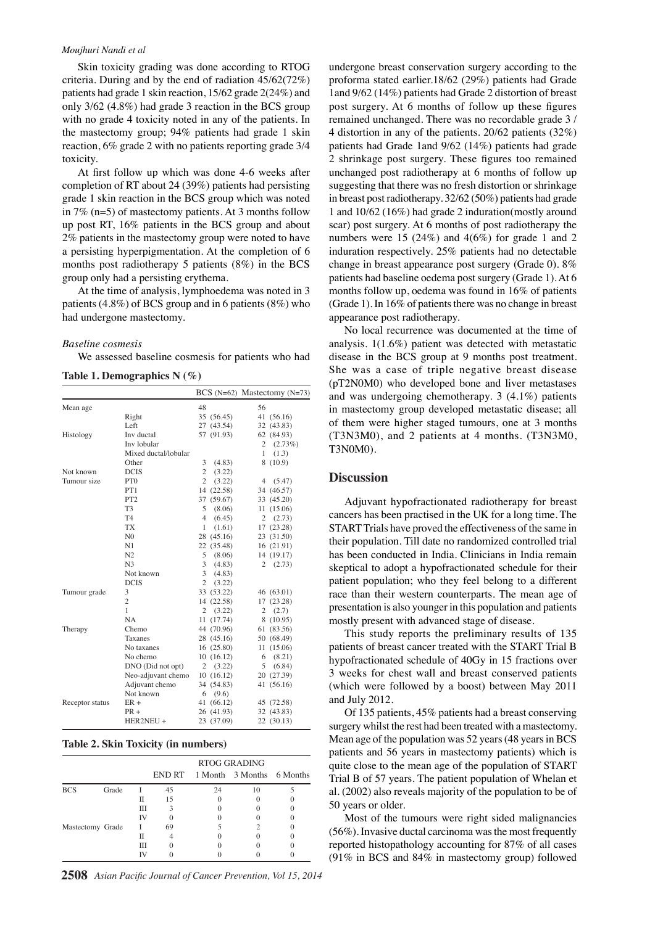#### *Moujhuri Nandi et al*

Skin toxicity grading was done according to RTOG criteria. During and by the end of radiation  $45/62(72\%)$ patients had grade 1 skin reaction,  $15/62$  grade  $2(24%)$  and only  $3/62$  (4.8%) had grade 3 reaction in the BCS group with no grade 4 toxicity noted in any of the patients. In the mastectomy group; 94% patients had grade 1 skin reaction,  $6\%$  grade 2 with no patients reporting grade  $3/4$ toxicity.

At first follow up which was done 4-6 weeks after completion of RT about 24 (39%) patients had persisting grade 1 skin reaction in the BCS group which was noted in 7% (n=5) of mastectomy patients. At 3 months follow up post RT, 16% patients in the BCS group and about 2% patients in the mastectomy group were noted to have a persisting hyperpigmentation. At the completion of 6 months post radiotherapy 5 patients (8%) in the BCS group only had a persisting erythema.

At the time of analysis, lymphoedema was noted in 3 patients (4.8%) of BCS group and in 6 patients (8%) who had undergone mastectomy.

#### *Baseline cosmesis*

We assessed baseline cosmesis for patients who had

|  |  | Table 1. Demographics $N(\%)$ |  |  |  |
|--|--|-------------------------------|--|--|--|
|--|--|-------------------------------|--|--|--|

|                 |                      |                |            |                | BCS (N=62) Mastectomy (N=73) |
|-----------------|----------------------|----------------|------------|----------------|------------------------------|
| Mean age        |                      | 48             |            | 56             |                              |
|                 | Right                |                | 35 (56.45) |                | 41 (56.16)                   |
|                 | Left                 | 27             | (43.54)    |                | 32 (43.83)                   |
| Histology       | Inv ductal           |                | 57 (91.93) |                | 62 (84.93)                   |
|                 | Inv lobular          |                |            | $\mathfrak{2}$ | (2.73%)                      |
|                 | Mixed ductal/lobular |                |            | 1              | (1.3)                        |
|                 | Other                | 3              | (4.83)     |                | 8(10.9)                      |
| Not known       | <b>DCIS</b>          | $\overline{2}$ | (3.22)     |                |                              |
| Tumour size     | PT <sub>0</sub>      | $\overline{c}$ | (3.22)     | 4              | (5.47)                       |
|                 | PT1                  |                | 14 (22.58) |                | 34 (46.57)                   |
|                 | PT <sub>2</sub>      |                | 37 (59.67) |                | 33 (45.20)                   |
|                 | T <sub>3</sub>       | 5              | (8.06)     |                | 11(15.06)                    |
|                 | T <sub>4</sub>       | 4              | (6.45)     | $\overline{c}$ | (2.73)                       |
|                 | TX                   | 1              | (1.61)     |                | 17 (23.28)                   |
|                 | N <sub>0</sub>       |                | 28 (45.16) |                | 23 (31.50)                   |
|                 | N1                   |                | 22 (35.48) |                | 16 (21.91)                   |
|                 | N <sub>2</sub>       | 5              | (8.06)     |                | 14 (19.17)                   |
|                 | N <sub>3</sub>       | 3              | (4.83)     | 2              | (2.73)                       |
|                 | Not known            | 3              | (4.83)     |                |                              |
|                 | <b>DCIS</b>          | $\overline{c}$ | (3.22)     |                |                              |
| Tumour grade    | 3                    |                | 33 (53.22) |                | 46 (63.01)                   |
|                 | $\overline{2}$       |                | 14 (22.58) |                | 17 (23.28)                   |
|                 | 1                    | 2              | (3.22)     | $\overline{c}$ | (2.7)                        |
|                 | <b>NA</b>            |                | 11 (17.74) |                | 8(10.95)                     |
| Therapy         | Chemo                |                | 44 (70.96) |                | 61 (83.56)                   |
|                 | Taxanes              |                | 28 (45.16) |                | 50 (68.49)                   |
|                 | No taxanes           |                | 16(25.80)  |                | 11 (15.06)                   |
|                 | No chemo             |                | 10(16.12)  | 6              | (8.21)                       |
|                 | DNO (Did not opt)    | $\overline{c}$ | (3.22)     | 5              | (6.84)                       |
|                 | Neo-adjuvant chemo   |                | 10(16.12)  |                | 20 (27.39)                   |
|                 | Adjuvant chemo       |                | 34 (54.83) |                | 41 (56.16)                   |
|                 | Not known            | 6              | (9.6)      |                |                              |
| Receptor status | $ER +$               |                | 41 (66.12) |                | 45 (72.58)                   |
|                 | $PR +$               |                | 26 (41.93) |                | 32 (43.83)                   |
|                 | HER2NEU +            |                | 23 (37.09) |                | 22 (30.13)                   |

#### **Table 2. Skin Toxicity (in numbers)**

|                  |       |    | <b>RTOG GRADING</b> |    |                                  |  |  |
|------------------|-------|----|---------------------|----|----------------------------------|--|--|
|                  |       |    |                     |    | END RT 1 Month 3 Months 6 Months |  |  |
| <b>BCS</b>       | Grade |    | 45                  | 24 | 10                               |  |  |
|                  |       | П  | 15                  |    |                                  |  |  |
|                  |       | Ш  |                     |    |                                  |  |  |
|                  |       | IV |                     |    |                                  |  |  |
| Mastectomy Grade |       |    | 69                  |    |                                  |  |  |
|                  |       | П  |                     |    |                                  |  |  |
|                  |       | Ш  |                     |    |                                  |  |  |
|                  |       |    |                     |    |                                  |  |  |

undergone breast conservation surgery according to the proforma stated earlier.18/62 (29%) patients had Grade l and 9/62 (14%) patients had Grade 2 distortion of breast post surgery. At 6 months of follow up these figures remained unchanged. There was no recordable grade 3/ 4 distortion in any of the patients.  $20/62$  patients  $(32\%)$ patients had Grade 1 and  $9/62$  (14%) patients had grade 2 shrinkage post surgery. These figures too remained unchanged post radiotherapy at 6 months of follow up suggesting that there was no fresh distortion or shrinkage in breast post radiotherapy.  $32/62$  (50%) patients had grade 1 and  $10/62$  (16%) had grade 2 induration (mostly around scar) post surgery. At 6 months of post radiotherapy the numbers were 15 (24%) and 4(6%) for grade 1 and 2 induration respectively. 25% patients had no detectable change in breast appearance post surgery (Grade 0). 8% patients had baseline oedema post surgery (Grade 1). At 6 months follow up, oedema was found in 16% of patients (Grade 1). In 16% of patients there was no change in breast appearance post radiotherapy.

No local recurrence was documented at the time of analysis. 1(1.6%) patient was detected with metastatic disease in the BCS group at 9 months post treatment. She was a case of triple negative breast disease (pT2N0M0) who developed bone and liver metastases and was undergoing chemotherapy. 3 (4.1%) patients in mastectomy group developed metastatic disease; all of them were higher staged tumours, one at 3 months (T3N3M0), and 2 patients at 4 months. (T3N3M0, T3N0M0).

#### **Discussion**

Adjuvant hypofractionated radiotherapy for breast cancers has been practised in the UK for a long time. The START Trials have proved the effectiveness of the same in their population. Till date no randomized controlled trial has been conducted in India. Clinicians in India remain skeptical to adopt a hypofractionated schedule for their patient population; who they feel belong to a different race than their western counterparts. The mean age of presentation is also younger in this population and patients mostly present with advanced stage of disease.

This study reports the preliminary results of 135 patients of breast cancer treated with the START Trial B hypofractionated schedule of 40Gy in 15 fractions over 3 weeks for chest wall and breast conserved patients (which were followed by a boost) between May 2011 and July 2012.

Of 135 patients, 45% patients had a breast conserving surgery whilst the rest had been treated with a mastectomy. Mean age of the population was 52 years (48 years in BCS patients and 56 years in mastectomy patients) which is quite close to the mean age of the population of START Trial B of 57 years. The patient population of Whelan et al. (2002) also reveals majority of the population to be of 50 years or older.

Most of the tumours were right sided malignancies (56%). Invasive ductal carcinoma was the most frequently reported histopathology accounting for 87% of all cases (91% in BCS and 84% in mastectomy group) followed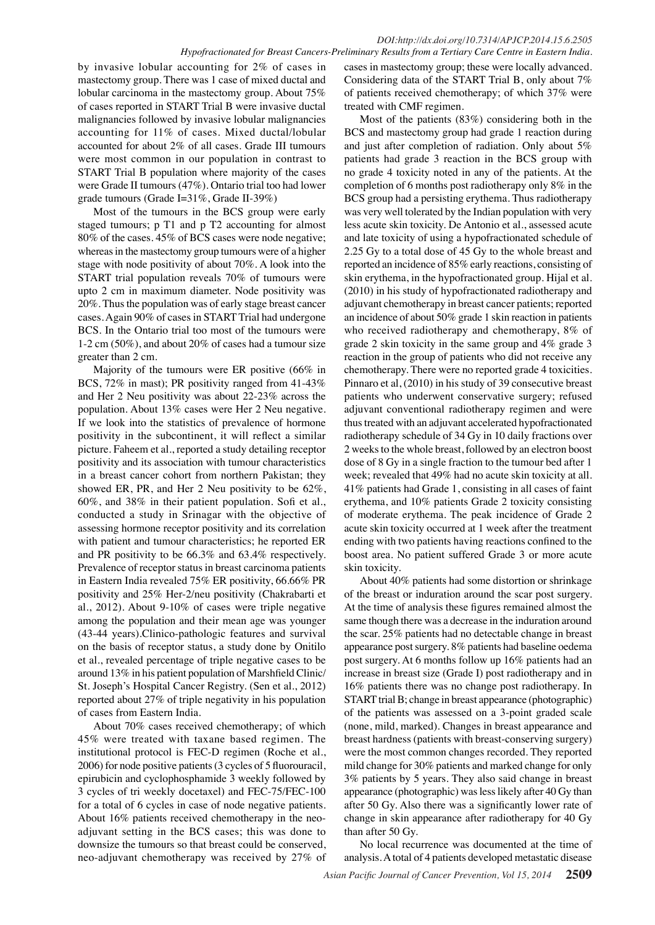#### *DOI:http://dx.doi.org/10.7314/APJCP.2014.15.6.2505 Hypofractionated for Breast Cancers-Preliminary Results from a Tertiary Care Centre in Eastern India.*

by invasive lobular accounting for 2% of cases in mastectomy group. There was 1 case of mixed ductal and lobular carcinoma in the mastectomy group. About 75% of cases reported in START Trial B were invasive ductal malignancies followed by invasive lobular malignancies accounting for  $11\%$  of cases. Mixed ductal/lobular accounted for about 2% of all cases. Grade III tumours were most common in our population in contrast to START Trial B population where majority of the cases were Grade II tumours (47%). Ontario trial too had lower grade tumours (Grade I=31%, Grade II-39%)

Most of the tumours in the BCS group were early staged tumours; p T1 and p T2 accounting for almost 80% of the cases. 45% of BCS cases were node negative; whereas in the mastectomy group tumours were of a higher stage with node positivity of about 70%. A look into the START trial population reveals 70% of tumours were upto 2 cm in maximum diameter. Node positivity was 20%. Thus the population was of early stage breast cancer cases. Again 90% of cases in START Trial had undergone BCS. In the Ontario trial too most of the tumours were 1-2 cm (50%), and about 20% of cases had a tumour size greater than 2 cm.

Majority of the tumours were ER positive (66% in BCS, 72% in mast); PR positivity ranged from 41-43% and Her 2 Neu positivity was about 22-23% across the population. About 13% cases were Her 2 Neu negative. If we look into the statistics of prevalence of hormone positivity in the subcontinent, it will reflect a similar picture. Faheem et al., reported a study detailing receptor positivity and its association with tumour characteristics in a breast cancer cohort from northern Pakistan; they showed ER, PR, and Her 2 Neu positivity to be 62%,  $60\%$ , and 38% in their patient population. Sofi et al., conducted a study in Srinagar with the objective of assessing hormone receptor positivity and its correlation with patient and tumour characteristics; he reported ER and PR positivity to be 66.3% and 63.4% respectively. Prevalence of receptor status in breast carcinoma patients in Eastern India revealed 75% ER positivity, 66.66% PR positivity and 25% Her-2/neu positivity (Chakrabarti et al., 2012). About 9-10% of cases were triple negative among the population and their mean age was younger (43-44 years).Clinico-pathologic features and survival on the basis of receptor status, a study done by Onitilo et al., revealed percentage of triple negative cases to be around  $13\%$  in his patient population of Marshfield Clinic/ St. Joseph's Hospital Cancer Registry. (Sen et al., 2012) reported about 27% of triple negativity in his population of cases from Eastern India.

About 70% cases received chemotherapy; of which 45% were treated with taxane based regimen. The institutional protocol is FEC-D regimen (Roche et al.,  $2006$ ) for node positive patients (3 cycles of 5 fluorouracil, epirubicin and cyclophosphamide 3 weekly followed by 3 cycles of tri weekly docetaxel) and FEC-75/FEC-100 for a total of 6 cycles in case of node negative patients. About 16% patients received chemotherapy in the neoadjuvant setting in the BCS cases; this was done to downsize the tumours so that breast could be conserved, neo-adjuvant chemotherapy was received by 27% of

cases in mastectomy group; these were locally advanced. Considering data of the START Trial B, only about 7% of patients received chemotherapy; of which 37% were treated with CMF regimen.

Most of the patients (83%) considering both in the BCS and mastectomy group had grade 1 reaction during and just after completion of radiation. Only about 5% patients had grade 3 reaction in the BCS group with no grade 4 toxicity noted in any of the patients. At the completion of 6 months post radiotherapy only 8% in the BCS group had a persisting erythema. Thus radiotherapy was very well tolerated by the Indian population with very less acute skin toxicity. De Antonio et al., assessed acute and late toxicity of using a hypofractionated schedule of 2.25 Gy to a total dose of 45 Gy to the whole breast and reported an incidence of 85% early reactions, consisting of skin erythema, in the hypofractionated group. Hijal et al. (2010) in his study of hypofractionated radiotherapy and adjuvant chemotherapy in breast cancer patients; reported an incidence of about 50% grade 1 skin reaction in patients who received radiotherapy and chemotherapy, 8% of grade 2 skin toxicity in the same group and 4% grade 3 reaction in the group of patients who did not receive any chemotherapy. There were no reported grade 4 toxicities. Pinnaro et al, (2010) in his study of 39 consecutive breast patients who underwent conservative surgery; refused adjuvant conventional radiotherapy regimen and were thus treated with an adjuvant accelerated hypofractionated radiotherapy schedule of 34 Gy in 10 daily fractions over 2 weeks to the whole breast, followed by an electron boost dose of 8 Gy in a single fraction to the tumour bed after 1 week; revealed that 49% had no acute skin toxicity at all. 41% patients had Grade 1, consisting in all cases of faint erythema, and 10% patients Grade 2 toxicity consisting of moderate erythema. The peak incidence of Grade 2 acute skin toxicity occurred at 1 week after the treatment ending with two patients having reactions confined to the boost area. No patient suffered Grade 3 or more acute skin toxicity.

About 40% patients had some distortion or shrinkage of the breast or induration around the scar post surgery. At the time of analysis these figures remained almost the same though there was a decrease in the induration around the scar. 25% patients had no detectable change in breast appearance post surgery. 8% patients had baseline oedema post surgery. At 6 months follow up 16% patients had an increase in breast size (Grade I) post radiotherapy and in 16% patients there was no change post radiotherapy. In START trial B; change in breast appearance (photographic) of the patients was assessed on a 3-point graded scale (none, mild, marked). Changes in breast appearance and breast hardness (patients with breast-conserving surgery) were the most common changes recorded. They reported mild change for 30% patients and marked change for only 3% patients by 5 years. They also said change in breast appearance (photographic) was less likely after 40 Gy than after 50 Gy. Also there was a significantly lower rate of change in skin appearance after radiotherapy for 40 Gy than after 50 Gy.

No local recurrence was documented at the time of analysis. A total of 4 patients developed metastatic disease